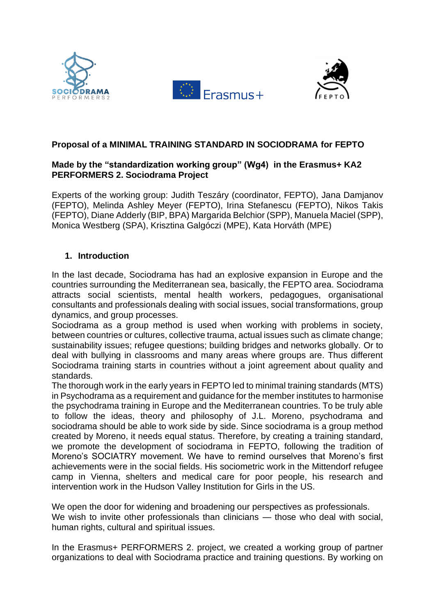





## **Proposal of a MINIMAL TRAINING STANDARD IN SOCIODRAMA for FEPTO**

## **Made by the "standardization working group" (Wg4) in the Erasmus+ KA2 PERFORMERS 2. Sociodrama Project**

Experts of the working group: Judith Teszáry (coordinator, FEPTO), Jana Damjanov (FEPTO), Melinda Ashley Meyer (FEPTO), Irina Stefanescu (FEPTO), Nikos Takis (FEPTO), Diane Adderly (BIP, BPA) Margarida Belchior (SPP), Manuela Maciel (SPP), Monica Westberg (SPA), Krisztina Galgóczi (MPE), Kata Horváth (MPE)

# **1. Introduction**

In the last decade, Sociodrama has had an explosive expansion in Europe and the countries surrounding the Mediterranean sea, basically, the FEPTO area. Sociodrama attracts social scientists, mental health workers, pedagogues, organisational consultants and professionals dealing with social issues, social transformations, group dynamics, and group processes.

Sociodrama as a group method is used when working with problems in society, between countries or cultures, collective trauma, actual issues such as climate change; sustainability issues; refugee questions; building bridges and networks globally. Or to deal with bullying in classrooms and many areas where groups are. Thus different Sociodrama training starts in countries without a joint agreement about quality and standards.

The thorough work in the early years in FEPTO led to minimal training standards (MTS) in Psychodrama as a requirement and guidance for the member institutes to harmonise the psychodrama training in Europe and the Mediterranean countries. To be truly able to follow the ideas, theory and philosophy of J.L. Moreno, psychodrama and sociodrama should be able to work side by side. Since sociodrama is a group method created by Moreno, it needs equal status. Therefore, by creating a training standard, we promote the development of sociodrama in FEPTO, following the tradition of Moreno's SOCIATRY movement. We have to remind ourselves that Moreno's first achievements were in the social fields. His sociometric work in the Mittendorf refugee camp in Vienna, shelters and medical care for poor people, his research and intervention work in the Hudson Valley Institution for Girls in the US.

We open the door for widening and broadening our perspectives as professionals. We wish to invite other professionals than clinicians — those who deal with social, human rights, cultural and spiritual issues.

In the Erasmus+ PERFORMERS 2. project, we created a working group of partner organizations to deal with Sociodrama practice and training questions. By working on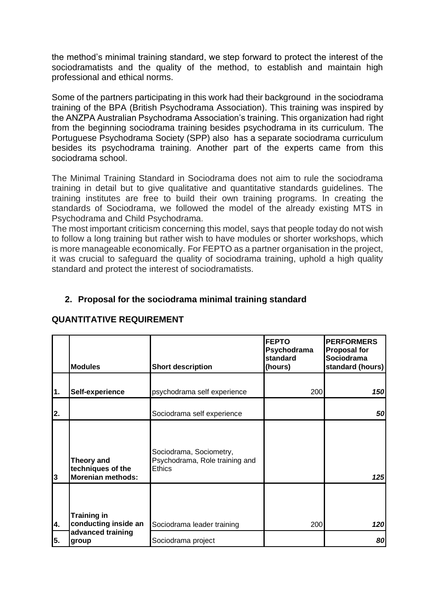the method's minimal training standard, we step forward to protect the interest of the sociodramatists and the quality of the method, to establish and maintain high professional and ethical norms.

Some of the partners participating in this work had their background in the sociodrama training of the BPA (British Psychodrama Association). This training was inspired by the ANZPA Australian Psychodrama Association's training. This organization had right from the beginning sociodrama training besides psychodrama in its curriculum. The Portuguese Psychodrama Society (SPP) also has a separate sociodrama curriculum besides its psychodrama training. Another part of the experts came from this sociodrama school.

The Minimal Training Standard in Sociodrama does not aim to rule the sociodrama training in detail but to give qualitative and quantitative standards guidelines. The training institutes are free to build their own training programs. In creating the standards of Sociodrama, we followed the model of the already existing MTS in Psychodrama and Child Psychodrama.

The most important criticism concerning this model, says that people today do not wish to follow a long training but rather wish to have modules or shorter workshops, which is more manageable economically. For FEPTO as a partner organisation in the project, it was crucial to safeguard the quality of sociodrama training, uphold a high quality standard and protect the interest of sociodramatists.

## **2. Proposal for the sociodrama minimal training standard**

|    | <b>Modules</b>                                              | <b>Short description</b>                                                   | <b>FEPTO</b><br>Psychodrama<br>standard<br>(hours) | <b>PERFORMERS</b><br><b>Proposal for</b><br>Sociodrama<br>standard (hours) |
|----|-------------------------------------------------------------|----------------------------------------------------------------------------|----------------------------------------------------|----------------------------------------------------------------------------|
| 1. | Self-experience                                             | psychodrama self experience                                                | 200                                                | 150                                                                        |
| 2. |                                                             | Sociodrama self experience                                                 |                                                    | 50                                                                         |
| 3  | Theory and<br>techniques of the<br><b>Morenian methods:</b> | Sociodrama, Sociometry,<br>Psychodrama, Role training and<br><b>Ethics</b> |                                                    | 125                                                                        |
| 4. | <b>Training in</b><br>conducting inside an                  | Sociodrama leader training                                                 | 200                                                | 120                                                                        |
| 5. | advanced training<br>group                                  | Sociodrama project                                                         |                                                    | 80                                                                         |

### **QUANTITATIVE REQUIREMENT**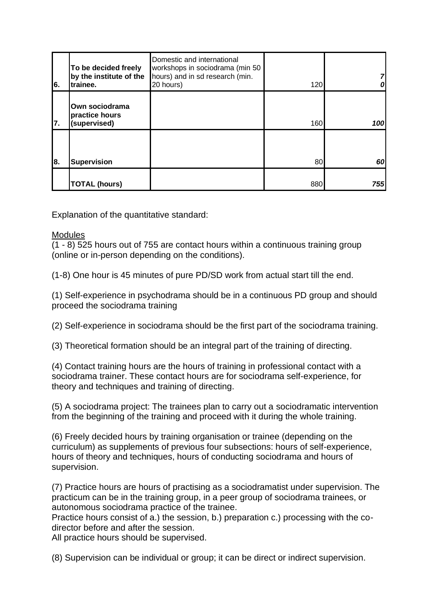| 6. | To be decided freely<br>by the institute of the<br>trainee. | Domestic and international<br>workshops in sociodrama (min 50<br>hours) and in sd research (min.<br>20 hours) | 120 |     |
|----|-------------------------------------------------------------|---------------------------------------------------------------------------------------------------------------|-----|-----|
| 7. | Own sociodrama<br>practice hours<br>(supervised)            |                                                                                                               | 160 | 100 |
| 8. | <b>Supervision</b>                                          |                                                                                                               | 80  | 60  |
|    | <b>TOTAL (hours)</b>                                        |                                                                                                               | 880 | 755 |

Explanation of the quantitative standard:

#### **Modules**

(1 - 8) 525 hours out of 755 are contact hours within a continuous training group (online or in-person depending on the conditions).

(1-8) One hour is 45 minutes of pure PD/SD work from actual start till the end.

(1) Self-experience in psychodrama should be in a continuous PD group and should proceed the sociodrama training

(2) Self-experience in sociodrama should be the first part of the sociodrama training.

(3) Theoretical formation should be an integral part of the training of directing.

(4) Contact training hours are the hours of training in professional contact with a sociodrama trainer. These contact hours are for sociodrama self-experience, for theory and techniques and training of directing.

(5) A sociodrama project: The trainees plan to carry out a sociodramatic intervention from the beginning of the training and proceed with it during the whole training.

(6) Freely decided hours by training organisation or trainee (depending on the curriculum) as supplements of previous four subsections: hours of self-experience, hours of theory and techniques, hours of conducting sociodrama and hours of supervision.

(7) Practice hours are hours of practising as a sociodramatist under supervision. The practicum can be in the training group, in a peer group of sociodrama trainees, or autonomous sociodrama practice of the trainee.

Practice hours consist of a.) the session, b.) preparation c.) processing with the codirector before and after the session.

All practice hours should be supervised.

(8) Supervision can be individual or group; it can be direct or indirect supervision.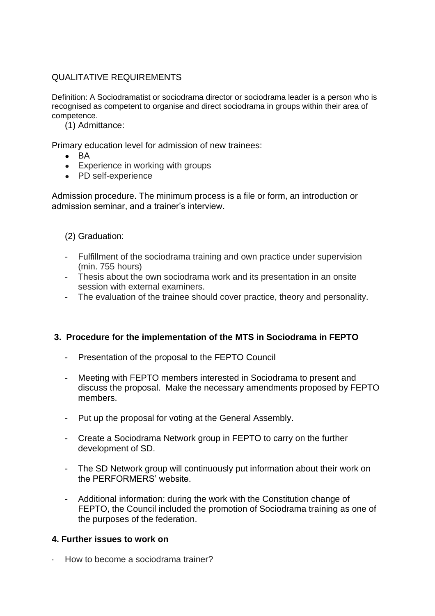# QUALITATIVE REQUIREMENTS

Definition: A Sociodramatist or sociodrama director or sociodrama leader is a person who is recognised as competent to organise and direct sociodrama in groups within their area of competence.

(1) Admittance:

Primary education level for admission of new trainees:

- $\bullet$  BA
- Experience in working with groups
- PD self-experience

Admission procedure. The minimum process is a file or form, an introduction or admission seminar, and a trainer's interview.

### (2) Graduation:

- Fulfillment of the sociodrama training and own practice under supervision (min. 755 hours)
- Thesis about the own sociodrama work and its presentation in an onsite session with external examiners.
- The evaluation of the trainee should cover practice, theory and personality.

## **3. Procedure for the implementation of the MTS in Sociodrama in FEPTO**

- Presentation of the proposal to the FEPTO Council
- Meeting with FEPTO members interested in Sociodrama to present and discuss the proposal. Make the necessary amendments proposed by FEPTO members.
- Put up the proposal for voting at the General Assembly.
- Create a Sociodrama Network group in FEPTO to carry on the further development of SD.
- The SD Network group will continuously put information about their work on the PERFORMERS' website.
- Additional information: during the work with the Constitution change of FEPTO, the Council included the promotion of Sociodrama training as one of the purposes of the federation.

### **4. Further issues to work on**

· How to become a sociodrama trainer?